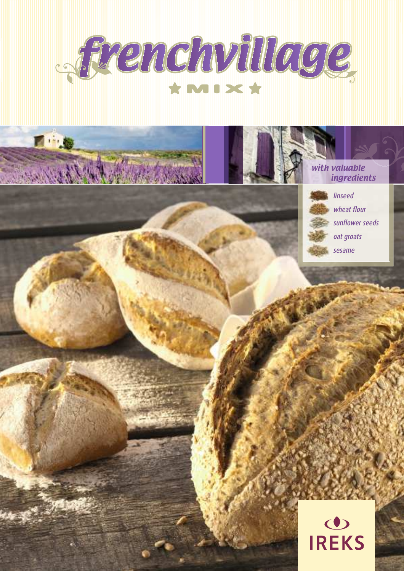